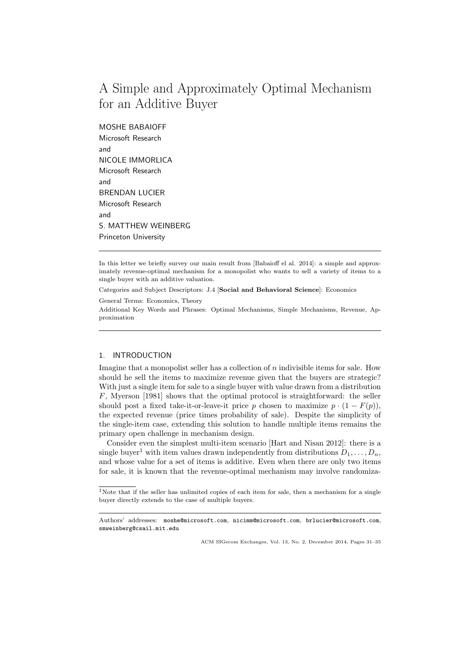# A Simple and Approximately Optimal Mechanism for an Additive Buyer

MOSHE BABAIOFF Microsoft Research and NICOLE IMMORLICA Microsoft Research and BRENDAN LUCIER Microsoft Research and S. MATTHEW WEINBERG Princeton University

In this letter we briefly survey our main result from [Babaioff el al. 2014]: a simple and approximately revenue-optimal mechanism for a monopolist who wants to sell a variety of items to a single buyer with an additive valuation.

Categories and Subject Descriptors: J.4 [Social and Behavioral Science]: Economics

General Terms: Economics, Theory

Additional Key Words and Phrases: Optimal Mechanisms, Simple Mechanisms, Revenue, Approximation

## 1. INTRODUCTION

Imagine that a monopolist seller has a collection of n indivisible items for sale. How should he sell the items to maximize revenue given that the buyers are strategic? With just a single item for sale to a single buyer with value drawn from a distribution F, Myerson [1981] shows that the optimal protocol is straightforward: the seller should post a fixed take-it-or-leave-it price p chosen to maximize  $p \cdot (1 - F(p))$ , the expected revenue (price times probability of sale). Despite the simplicity of the single-item case, extending this solution to handle multiple items remains the primary open challenge in mechanism design.

Consider even the simplest multi-item scenario [Hart and Nisan 2012]: there is a single buyer<sup>1</sup> with item values drawn independently from distributions  $D_1, \ldots, D_n$ , and whose value for a set of items is additive. Even when there are only two items for sale, it is known that the revenue-optimal mechanism may involve randomiza-

ACM SIGecom Exchanges, Vol. 13, No. 2, December 2014, Pages 31–35

<sup>&</sup>lt;sup>1</sup>Note that if the seller has unlimited copies of each item for sale, then a mechanism for a single buyer directly extends to the case of multiple buyers.

Authors' addresses: moshe@microsoft.com, nicimm@microsoft.com, brlucier@microsoft.com, smweinberg@csail.mit.edu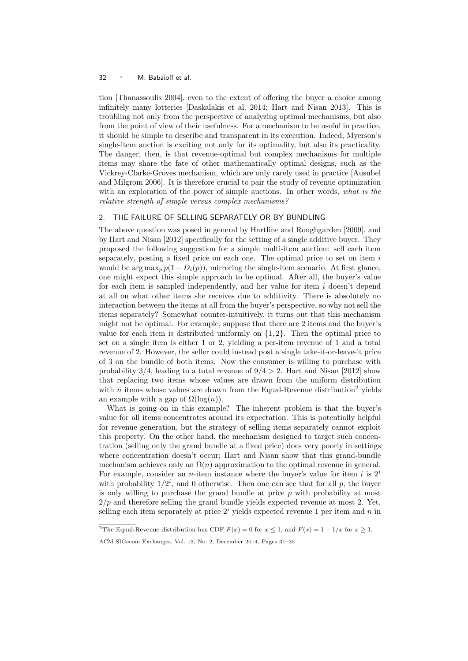### <sup>32</sup> · M. Babaioff et al.

tion [Thanassoulis 2004], even to the extent of offering the buyer a choice among infinitely many lotteries [Daskalakis et al. 2014; Hart and Nisan 2013]. This is troubling not only from the perspective of analyzing optimal mechanisms, but also from the point of view of their usefulness. For a mechanism to be useful in practice, it should be simple to describe and transparent in its execution. Indeed, Myerson's single-item auction is exciting not only for its optimality, but also its practicality. The danger, then, is that revenue-optimal but complex mechanisms for multiple items may share the fate of other mathematically optimal designs, such as the Vickrey-Clarke-Groves mechanism, which are only rarely used in practice [Ausubel and Milgrom 2006]. It is therefore crucial to pair the study of revenue optimization with an exploration of the power of simple auctions. In other words, what is the relative strength of simple versus complex mechanisms?

## 2. THE FAILURE OF SELLING SEPARATELY OR BY BUNDLING

The above question was posed in general by Hartline and Roughgarden [2009], and by Hart and Nisan [2012] specifically for the setting of a single additive buyer. They proposed the following suggestion for a simple multi-item auction: sell each item separately, posting a fixed price on each one. The optimal price to set on item  $i$ would be  $\arg \max_{p} p(1 - D_i(p))$ , mirroring the single-item scenario. At first glance, one might expect this simple approach to be optimal. After all, the buyer's value for each item is sampled independently, and her value for item  $i$  doesn't depend at all on what other items she receives due to additivity. There is absolutely no interaction between the items at all from the buyer's perspective, so why not sell the items separately? Somewhat counter-intuitively, it turns out that this mechanism might not be optimal. For example, suppose that there are 2 items and the buyer's value for each item is distributed uniformly on  $\{1, 2\}$ . Then the optimal price to set on a single item is either 1 or 2, yielding a per-item revenue of 1 and a total revenue of 2. However, the seller could instead post a single take-it-or-leave-it price of 3 on the bundle of both items. Now the consumer is willing to purchase with probability  $3/4$ , leading to a total revenue of  $9/4 > 2$ . Hart and Nisan [2012] show that replacing two items whose values are drawn from the uniform distribution with *n* items whose values are drawn from the Equal-Revenue distribution<sup>2</sup> yields an example with a gap of  $\Omega(\log(n))$ .

What is going on in this example? The inherent problem is that the buyer's value for all items concentrates around its expectation. This is potentially helpful for revenue generation, but the strategy of selling items separately cannot exploit this property. On the other hand, the mechanism designed to target such concentration (selling only the grand bundle at a fixed price) does very poorly in settings where concentration doesn't occur; Hart and Nisan show that this grand-bundle mechanism achieves only an  $\Omega(n)$  approximation to the optimal revenue in general. For example, consider an *n*-item instance where the buyer's value for item i is  $2^i$ with probability  $1/2^i$ , and 0 otherwise. Then one can see that for all p, the buyer is only willing to purchase the grand bundle at price  $p$  with probability at most  $2/p$  and therefore selling the grand bundle yields expected revenue at most 2. Yet, selling each item separately at price  $2<sup>i</sup>$  yields expected revenue 1 per item and n in

<sup>&</sup>lt;sup>2</sup>The Equal-Revenue distribution has CDF  $F(x) = 0$  for  $x \le 1$ , and  $F(x) = 1 - 1/x$  for  $x \ge 1$ .

ACM SIGecom Exchanges, Vol. 13, No. 2, December 2014, Pages 31–35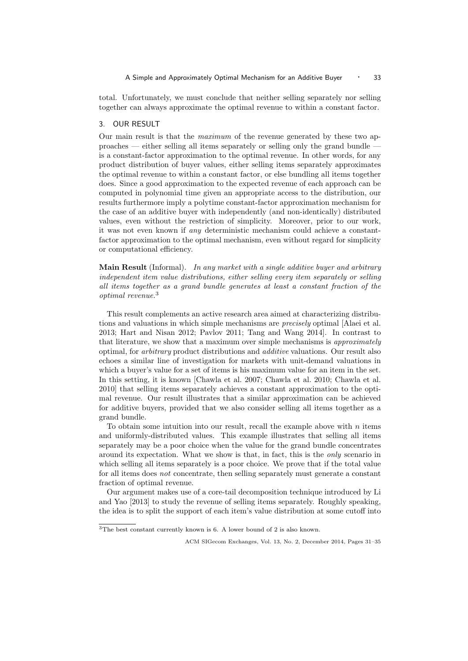total. Unfortunately, we must conclude that neither selling separately nor selling together can always approximate the optimal revenue to within a constant factor.

## 3. OUR RESULT

Our main result is that the maximum of the revenue generated by these two approaches — either selling all items separately or selling only the grand bundle is a constant-factor approximation to the optimal revenue. In other words, for any product distribution of buyer values, either selling items separately approximates the optimal revenue to within a constant factor, or else bundling all items together does. Since a good approximation to the expected revenue of each approach can be computed in polynomial time given an appropriate access to the distribution, our results furthermore imply a polytime constant-factor approximation mechanism for the case of an additive buyer with independently (and non-identically) distributed values, even without the restriction of simplicity. Moreover, prior to our work, it was not even known if any deterministic mechanism could achieve a constantfactor approximation to the optimal mechanism, even without regard for simplicity or computational efficiency.

Main Result (Informal). In any market with a single additive buyer and arbitrary independent item value distributions, either selling every item separately or selling all items together as a grand bundle generates at least a constant fraction of the optimal revenue.<sup>3</sup>

This result complements an active research area aimed at characterizing distributions and valuations in which simple mechanisms are precisely optimal [Alaei et al. 2013; Hart and Nisan 2012; Pavlov 2011; Tang and Wang 2014]. In contrast to that literature, we show that a maximum over simple mechanisms is approximately optimal, for arbitrary product distributions and additive valuations. Our result also echoes a similar line of investigation for markets with unit-demand valuations in which a buyer's value for a set of items is his maximum value for an item in the set. In this setting, it is known [Chawla et al. 2007; Chawla et al. 2010; Chawla et al. 2010] that selling items separately achieves a constant approximation to the optimal revenue. Our result illustrates that a similar approximation can be achieved for additive buyers, provided that we also consider selling all items together as a grand bundle.

To obtain some intuition into our result, recall the example above with  $n$  items and uniformly-distributed values. This example illustrates that selling all items separately may be a poor choice when the value for the grand bundle concentrates around its expectation. What we show is that, in fact, this is the only scenario in which selling all items separately is a poor choice. We prove that if the total value for all items does not concentrate, then selling separately must generate a constant fraction of optimal revenue.

Our argument makes use of a core-tail decomposition technique introduced by Li and Yao [2013] to study the revenue of selling items separately. Roughly speaking, the idea is to split the support of each item's value distribution at some cutoff into

<sup>&</sup>lt;sup>3</sup>The best constant currently known is 6. A lower bound of 2 is also known.

ACM SIGecom Exchanges, Vol. 13, No. 2, December 2014, Pages 31–35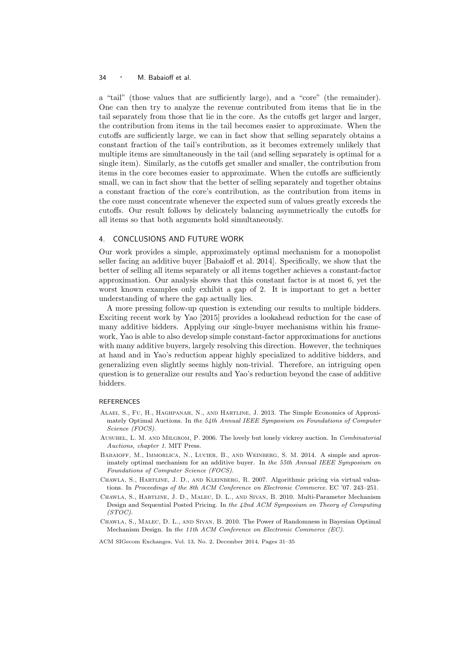### <sup>34</sup> · M. Babaioff et al.

a "tail" (those values that are sufficiently large), and a "core" (the remainder). One can then try to analyze the revenue contributed from items that lie in the tail separately from those that lie in the core. As the cutoffs get larger and larger, the contribution from items in the tail becomes easier to approximate. When the cutoffs are sufficiently large, we can in fact show that selling separately obtains a constant fraction of the tail's contribution, as it becomes extremely unlikely that multiple items are simultaneously in the tail (and selling separately is optimal for a single item). Similarly, as the cutoffs get smaller and smaller, the contribution from items in the core becomes easier to approximate. When the cutoffs are sufficiently small, we can in fact show that the better of selling separately and together obtains a constant fraction of the core's contribution, as the contribution from items in the core must concentrate whenever the expected sum of values greatly exceeds the cutoffs. Our result follows by delicately balancing asymmetrically the cutoffs for all items so that both arguments hold simultaneously.

## 4. CONCLUSIONS AND FUTURE WORK

Our work provides a simple, approximately optimal mechanism for a monopolist seller facing an additive buyer [Babaioff et al. 2014]. Specifically, we show that the better of selling all items separately or all items together achieves a constant-factor approximation. Our analysis shows that this constant factor is at most 6, yet the worst known examples only exhibit a gap of 2. It is important to get a better understanding of where the gap actually lies.

A more pressing follow-up question is extending our results to multiple bidders. Exciting recent work by Yao [2015] provides a lookahead reduction for the case of many additive bidders. Applying our single-buyer mechanisms within his framework, Yao is able to also develop simple constant-factor approximations for auctions with many additive buyers, largely resolving this direction. However, the techniques at hand and in Yao's reduction appear highly specialized to additive bidders, and generalizing even slightly seems highly non-trivial. Therefore, an intriguing open question is to generalize our results and Yao's reduction beyond the case of additive bidders.

## REFERENCES

- Alaei, S., Fu, H., Haghpanah, N., and Hartline, J. 2013. The Simple Economics of Approximately Optimal Auctions. In the 54th Annual IEEE Symposium on Foundations of Computer Science (FOCS).
- Ausubel, L. M. and Milgrom, P. 2006. The lovely but lonely vickrey auction. In Combinatorial Auctions, chapter 1. MIT Press.
- Babaioff, M., Immorlica, N., Lucier, B., and Weinberg, S. M. 2014. A simple and aproximately optimal mechanism for an additive buyer. In the 55th Annual IEEE Symposium on Foundations of Computer Science (FOCS).
- Chawla, S., Hartline, J. D., and Kleinberg, R. 2007. Algorithmic pricing via virtual valuations. In Proceedings of the 8th ACM Conference on Electronic Commerce. EC '07. 243–251.
- Chawla, S., Hartline, J. D., Malec, D. L., and Sivan, B. 2010. Multi-Parameter Mechanism Design and Sequential Posted Pricing. In the 42nd ACM Symposium on Theory of Computing (STOC).
- Chawla, S., Malec, D. L., and Sivan, B. 2010. The Power of Randomness in Bayesian Optimal Mechanism Design. In the 11th ACM Conference on Electronic Commerce (EC).

ACM SIGecom Exchanges, Vol. 13, No. 2, December 2014, Pages 31–35